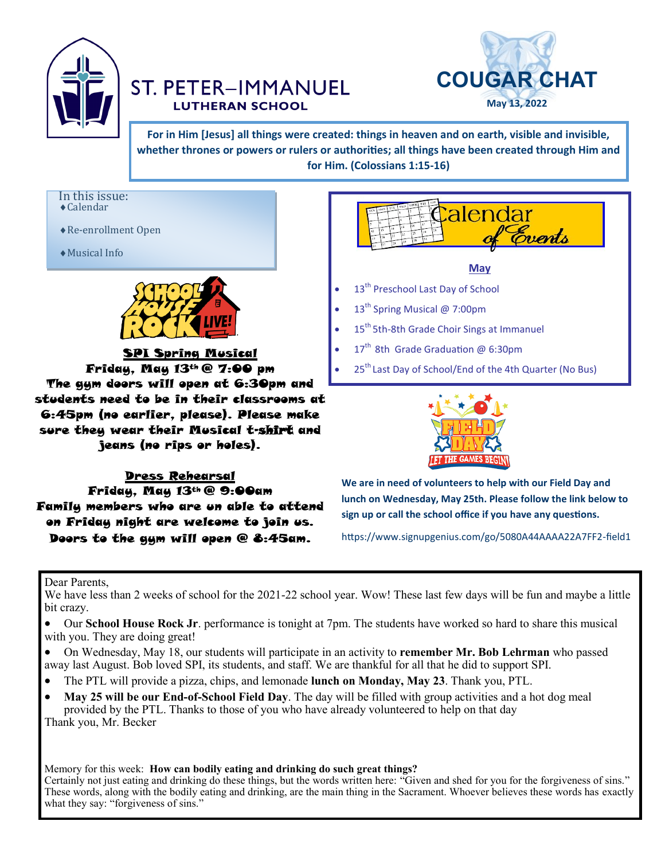

## **ST. PETER-IMMANUEL LUTHERAN SCHOOL**



**For in Him [Jesus] all things were created: things in heaven and on earth, visible and invisible, whether thrones or powers or rulers or authorities; all things have been created through Him and for Him. (Colossians 1:15-16)**

In this issue: Calendar

Re-enrollment Open

Musical Info



 SPI Spring Musical Friday, May 13th @ 7:00 pm The gym doors will open at 6:30pm and students need to be in their classrooms at 6:45pm (no earlier, please). Please make sure they wear their Musical t-shirt and

jeans (no rips or holes).

#### Dress Rehearsal

Friday, May 13th @ 9:00am Family members who are un able to attend on Friday night are welcome to join us. Doors to the gum will open @ 8:45am.



**We are in need of volunteers to help with our Field Day and lunch on Wednesday, May 25th. Please follow the link below to sign up or call the school office if you have any questions.**

https://www.signupgenius.com/go/5080A44AAAA22A7FF2-field1

#### Dear Parents,

We have less than 2 weeks of school for the 2021-22 school year. Wow! These last few days will be fun and maybe a little bit crazy.

- Our **School House Rock Jr**. performance is tonight at 7pm. The students have worked so hard to share this musical with you. They are doing great!
- On Wednesday, May 18, our students will participate in an activity to **remember Mr. Bob Lehrman** who passed away last August. Bob loved SPI, its students, and staff. We are thankful for all that he did to support SPI.
- The PTL will provide a pizza, chips, and lemonade **lunch on Monday, May 23**. Thank you, PTL.
- **May 25 will be our End-of-School Field Day**. The day will be filled with group activities and a hot dog meal provided by the PTL. Thanks to those of you who have already volunteered to help on that day Thank you, Mr. Becker

Memory for this week: **How can bodily eating and drinking do such great things?** Certainly not just eating and drinking do these things, but the words written here: "Given and shed for you for the forgiveness of sins." These words, along with the bodily eating and drinking, are the main thing in the Sacrament. Whoever believes these words has exactly what they say: "forgiveness of sins."